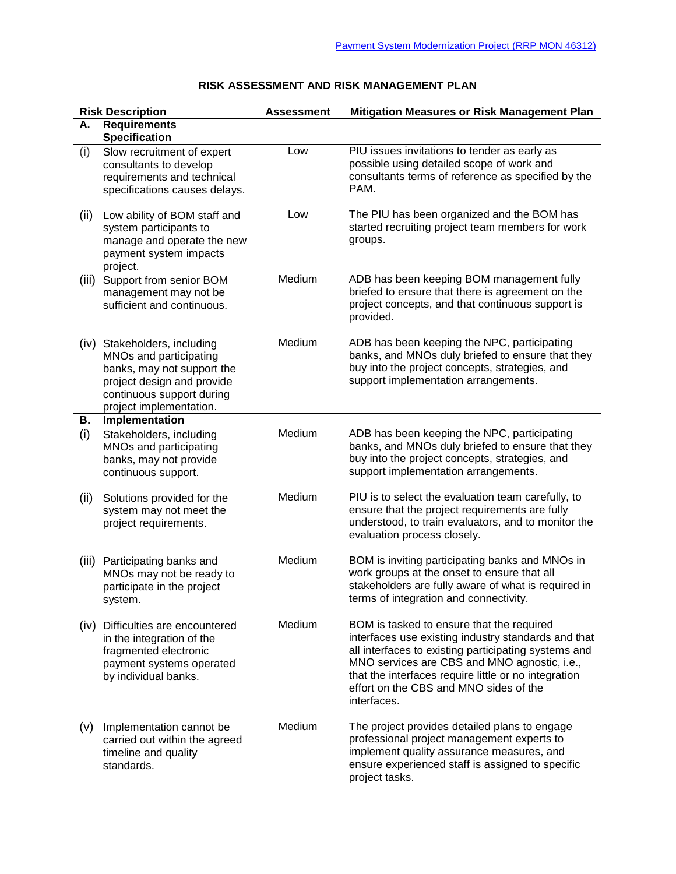|       | <b>Risk Description</b>                                                                                                                                                    | <b>Assessment</b> | Mitigation Measures or Risk Management Plan                                                                                                                                                                                                                                                                               |
|-------|----------------------------------------------------------------------------------------------------------------------------------------------------------------------------|-------------------|---------------------------------------------------------------------------------------------------------------------------------------------------------------------------------------------------------------------------------------------------------------------------------------------------------------------------|
| А.    | <b>Requirements</b><br><b>Specification</b>                                                                                                                                |                   |                                                                                                                                                                                                                                                                                                                           |
| (i)   | Slow recruitment of expert<br>consultants to develop<br>requirements and technical<br>specifications causes delays.                                                        | Low               | PIU issues invitations to tender as early as<br>possible using detailed scope of work and<br>consultants terms of reference as specified by the<br>PAM.                                                                                                                                                                   |
| (ii)  | Low ability of BOM staff and<br>system participants to<br>manage and operate the new<br>payment system impacts<br>project.                                                 | Low               | The PIU has been organized and the BOM has<br>started recruiting project team members for work<br>groups.                                                                                                                                                                                                                 |
| (iii) | Support from senior BOM<br>management may not be<br>sufficient and continuous.                                                                                             | Medium            | ADB has been keeping BOM management fully<br>briefed to ensure that there is agreement on the<br>project concepts, and that continuous support is<br>provided.                                                                                                                                                            |
|       | (iv) Stakeholders, including<br>MNOs and participating<br>banks, may not support the<br>project design and provide<br>continuous support during<br>project implementation. | Medium            | ADB has been keeping the NPC, participating<br>banks, and MNOs duly briefed to ensure that they<br>buy into the project concepts, strategies, and<br>support implementation arrangements.                                                                                                                                 |
| В.    | Implementation                                                                                                                                                             |                   |                                                                                                                                                                                                                                                                                                                           |
| (i)   | Stakeholders, including<br>MNOs and participating<br>banks, may not provide<br>continuous support.                                                                         | Medium            | ADB has been keeping the NPC, participating<br>banks, and MNOs duly briefed to ensure that they<br>buy into the project concepts, strategies, and<br>support implementation arrangements.                                                                                                                                 |
| (ii)  | Solutions provided for the<br>system may not meet the<br>project requirements.                                                                                             | Medium            | PIU is to select the evaluation team carefully, to<br>ensure that the project requirements are fully<br>understood, to train evaluators, and to monitor the<br>evaluation process closely.                                                                                                                                |
| (iii) | Participating banks and<br>MNOs may not be ready to<br>participate in the project<br>system.                                                                               | Medium            | BOM is inviting participating banks and MNOs in<br>work groups at the onset to ensure that all<br>stakeholders are fully aware of what is required in<br>terms of integration and connectivity.                                                                                                                           |
|       | (iv) Difficulties are encountered<br>in the integration of the<br>fragmented electronic<br>payment systems operated<br>by individual banks.                                | Medium            | BOM is tasked to ensure that the required<br>interfaces use existing industry standards and that<br>all interfaces to existing participating systems and<br>MNO services are CBS and MNO agnostic, i.e.,<br>that the interfaces require little or no integration<br>effort on the CBS and MNO sides of the<br>interfaces. |
| (v)   | Implementation cannot be<br>carried out within the agreed<br>timeline and quality<br>standards.                                                                            | Medium            | The project provides detailed plans to engage<br>professional project management experts to<br>implement quality assurance measures, and<br>ensure experienced staff is assigned to specific<br>project tasks.                                                                                                            |

## **RISK ASSESSMENT AND RISK MANAGEMENT PLAN**